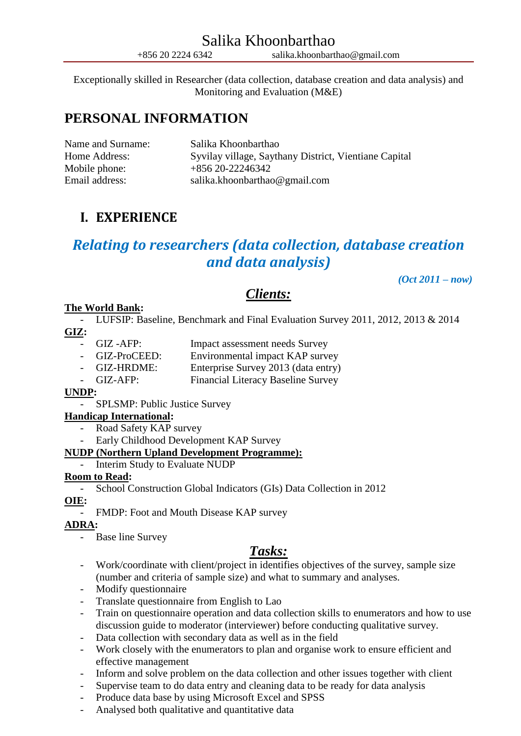Exceptionally skilled in Researcher (data collection, database creation and data analysis) and Monitoring and Evaluation (M&E)

# **PERSONAL INFORMATION**

| Name and Surname: | Salika Khoonbarthao                                   |
|-------------------|-------------------------------------------------------|
| Home Address:     | Syvilay village, Saythany District, Vientiane Capital |
| Mobile phone:     | $+85620-22246342$                                     |
| Email address:    | salika.khoonbarthao@gmail.com                         |

# **I. EXPERIENCE**

# *Relating to researchers (data collection, database creation and data analysis)*

*(Oct 2011 – now)*

# *Clients:*

# **The World Bank:**

- LUFSIP: Baseline, Benchmark and Final Evaluation Survey 2011, 2012, 2013 & 2014 **GIZ:**

- 
- GIZ -AFP: Impact assessment needs Survey
- GIZ-ProCEED: Environmental impact KAP survey
- GIZ-HRDME: Enterprise Survey 2013 (data entry)
- GIZ-AFP: Financial Literacy Baseline Survey

## **UNDP:**

- SPLSMP: Public Justice Survey

## **Handicap International:**

- Road Safety KAP survey
- Early Childhood Development KAP Survey

## **NUDP (Northern Upland Development Programme):**

- Interim Study to Evaluate NUDP

#### **Room to Read:**

- School Construction Global Indicators (GIs) Data Collection in 2012

## **OIE:**

- FMDP: Foot and Mouth Disease KAP survey

## **ADRA:**

- Base line Survey

# *Tasks:*

- Work/coordinate with client/project in identifies objectives of the survey, sample size (number and criteria of sample size) and what to summary and analyses.
- Modify questionnaire
- Translate questionnaire from English to Lao
- Train on questionnaire operation and data collection skills to enumerators and how to use discussion guide to moderator (interviewer) before conducting qualitative survey.
- Data collection with secondary data as well as in the field
- Work closely with the enumerators to plan and organise work to ensure efficient and effective management
- Inform and solve problem on the data collection and other issues together with client
- Supervise team to do data entry and cleaning data to be ready for data analysis
- Produce data base by using Microsoft Excel and SPSS
- Analysed both qualitative and quantitative data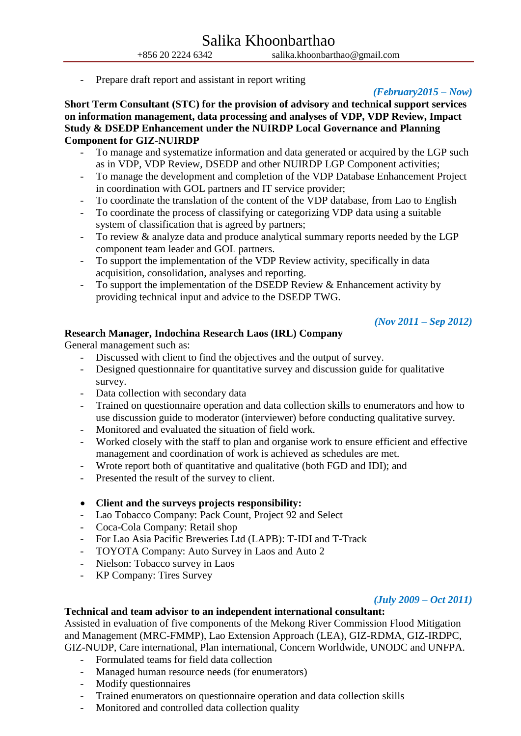- Prepare draft report and assistant in report writing

## *(February2015 – Now)*

**Short Term Consultant (STC) for the provision of advisory and technical support services on information management, data processing and analyses of VDP, VDP Review, Impact Study & DSEDP Enhancement under the NUIRDP Local Governance and Planning Component for GIZ-NUIRDP**

- To manage and systematize information and data generated or acquired by the LGP such as in VDP, VDP Review, DSEDP and other NUIRDP LGP Component activities;
- To manage the development and completion of the VDP Database Enhancement Project in coordination with GOL partners and IT service provider;
- To coordinate the translation of the content of the VDP database, from Lao to English
- To coordinate the process of classifying or categorizing VDP data using a suitable system of classification that is agreed by partners;
- To review & analyze data and produce analytical summary reports needed by the LGP component team leader and GOL partners.
- To support the implementation of the VDP Review activity, specifically in data acquisition, consolidation, analyses and reporting.
- To support the implementation of the DSEDP Review  $\&$  Enhancement activity by providing technical input and advice to the DSEDP TWG.

### *(Nov 2011 – Sep 2012)*

### **Research Manager, Indochina Research Laos (IRL) Company**

General management such as:

- Discussed with client to find the objectives and the output of survey.
- Designed questionnaire for quantitative survey and discussion guide for qualitative survey.
- Data collection with secondary data
- Trained on questionnaire operation and data collection skills to enumerators and how to use discussion guide to moderator (interviewer) before conducting qualitative survey.
- Monitored and evaluated the situation of field work.
- Worked closely with the staff to plan and organise work to ensure efficient and effective management and coordination of work is achieved as schedules are met.
- Wrote report both of quantitative and qualitative (both FGD and IDI); and
- Presented the result of the survey to client.

#### **Client and the surveys projects responsibility:**

- Lao Tobacco Company: Pack Count, Project 92 and Select
- Coca-Cola Company: Retail shop
- For Lao Asia Pacific Breweries Ltd (LAPB): T-IDI and T-Track
- TOYOTA Company: Auto Survey in Laos and Auto 2
- Nielson: Tobacco survey in Laos
- KP Company: Tires Survey

#### *(July 2009 – Oct 2011)*

# **Technical and team advisor to an independent international consultant:**

Assisted in evaluation of five components of the Mekong River Commission Flood Mitigation and Management (MRC-FMMP), Lao Extension Approach (LEA), GIZ-RDMA, GIZ-IRDPC, GIZ-NUDP, Care international, Plan international, Concern Worldwide, UNODC and UNFPA.

- Formulated teams for field data collection
- Managed human resource needs (for enumerators)
- Modify questionnaires
- Trained enumerators on questionnaire operation and data collection skills
- Monitored and controlled data collection quality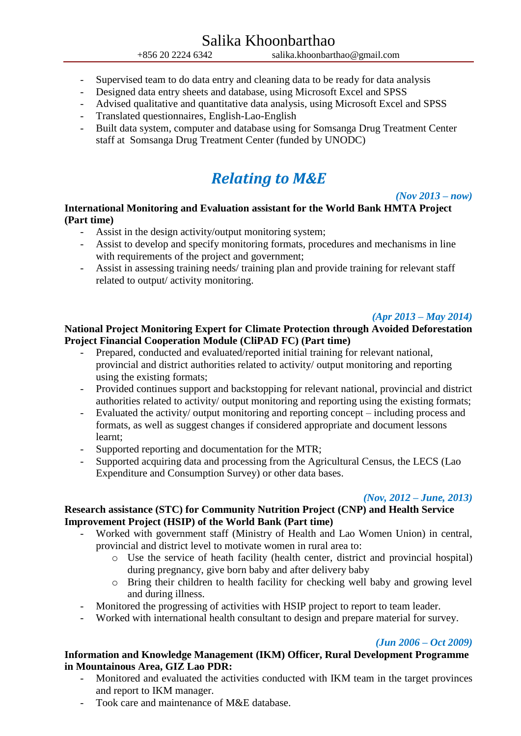- Supervised team to do data entry and cleaning data to be ready for data analysis
- Designed data entry sheets and database, using Microsoft Excel and SPSS
- Advised qualitative and quantitative data analysis, using Microsoft Excel and SPSS
- Translated questionnaires, English-Lao-English
- Built data system, computer and database using for Somsanga Drug Treatment Center staff at Somsanga Drug Treatment Center (funded by UNODC)

# *Relating to M&E*

#### *(Nov 2013 – now)*

# **International Monitoring and Evaluation assistant for the World Bank HMTA Project (Part time)**

- Assist in the design activity/output monitoring system;
- Assist to develop and specify monitoring formats, procedures and mechanisms in line with requirements of the project and government;
- Assist in assessing training needs/ training plan and provide training for relevant staff related to output/ activity monitoring.

## *(Apr 2013 – May 2014)*

### **National Project Monitoring Expert for Climate Protection through Avoided Deforestation Project Financial Cooperation Module (CliPAD FC) (Part time)**

- Prepared, conducted and evaluated/reported initial training for relevant national, provincial and district authorities related to activity/ output monitoring and reporting using the existing formats;
- Provided continues support and backstopping for relevant national, provincial and district authorities related to activity/ output monitoring and reporting using the existing formats;
- Evaluated the activity/ output monitoring and reporting concept including process and formats, as well as suggest changes if considered appropriate and document lessons learnt;
- Supported reporting and documentation for the MTR;
- Supported acquiring data and processing from the Agricultural Census, the LECS (Lao Expenditure and Consumption Survey) or other data bases.

#### *(Nov, 2012 – June, 2013)*

# **Research assistance (STC) for Community Nutrition Project (CNP) and Health Service Improvement Project (HSIP) of the World Bank (Part time)**

- Worked with government staff (Ministry of Health and Lao Women Union) in central, provincial and district level to motivate women in rural area to:
	- o Use the service of heath facility (health center, district and provincial hospital) during pregnancy, give born baby and after delivery baby
	- o Bring their children to health facility for checking well baby and growing level and during illness.
- Monitored the progressing of activities with HSIP project to report to team leader.
- Worked with international health consultant to design and prepare material for survey.

#### *(Jun 2006 – Oct 2009)*

### **Information and Knowledge Management (IKM) Officer, Rural Development Programme in Mountainous Area, GIZ Lao PDR:**

- Monitored and evaluated the activities conducted with IKM team in the target provinces and report to IKM manager.
- Took care and maintenance of M&E database.